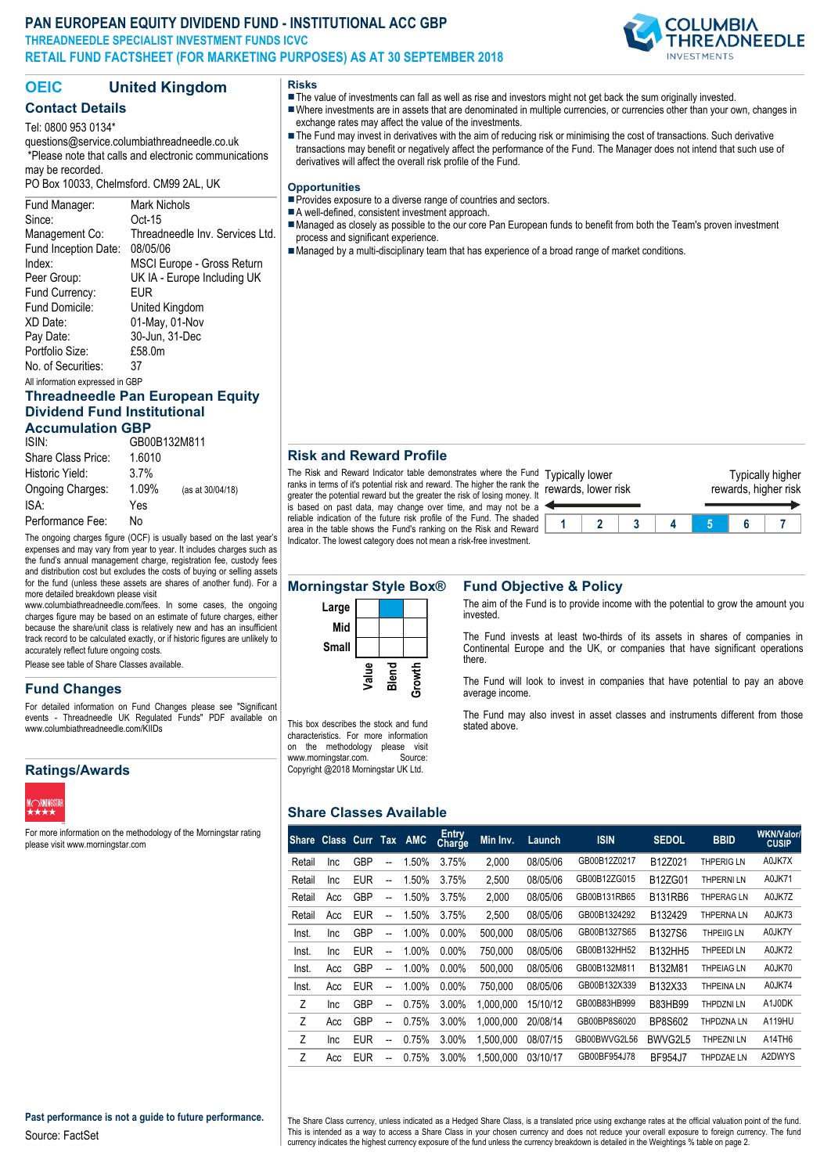## **PAN EUROPEAN EQUITY DIVIDEND FUND - INSTITUTIONAL ACC GBP THREADNEEDLE SPECIALIST INVESTMENT FUNDS ICVC RETAIL FUND FACTSHEET (FOR MARKETING PURPOSES) AS AT 30 SEPTEMBER 2018**



# **OEIC United Kingdom**

# **Contact Details**

Tel: 0800 953 0134\*

questions@service.columbiathreadneedle.co.uk \*Please note that calls and electronic communications may be recorded.

PO Box 10033, Chelmsford. CM99 2AL, UK

## Fund Manager: Mark Nichols Since: Oct-15 Management Co: Threadneedle Inv. Services Ltd. Fund Inception Date: 08/05/06 Index: MSCI Europe - Gross Return Peer Group: UK IA - Europe Including UK Fund Currency: EUR Fund Domicile: United Kingdom XD Date: 01-May, 01-Nov Pay Date: 30-Jun, 31-Dec Portfolio Size: £58.0m No. of Securities: 37

All information expressed in GBP

## **Threadneedle Pan European Equity Dividend Fund Institutional Accumulation GBP**

| Accamaton opi      |              |                  |  |  |  |  |  |
|--------------------|--------------|------------------|--|--|--|--|--|
| ISIN:              | GB00B132M811 |                  |  |  |  |  |  |
| Share Class Price: | 1.6010       |                  |  |  |  |  |  |
| Historic Yield:    | 3.7%         |                  |  |  |  |  |  |
| Ongoing Charges:   | 1.09%        | (as at 30/04/18) |  |  |  |  |  |
| ISA:               | Yes          |                  |  |  |  |  |  |
| Performance Fee:   | N٥           |                  |  |  |  |  |  |

The ongoing charges figure (OCF) is usually based on the last year's expenses and may vary from year to year. It includes charges such as the fund's annual management charge, registration fee, custody fees and distribution cost but excludes the costs of buying or selling assets for the fund (unless these assets are shares of another fund). For a more detailed breakdown please visit

www.columbiathreadneedle.com/fees. In some cases, the ongoing charges figure may be based on an estimate of future charges, either because the share/unit class is relatively new and has an insufficient track record to be calculated exactly, or if historic figures are unlikely to accurately reflect future ongoing costs.

Please see table of Share Classes available.

# **Fund Changes**

For detailed information on Fund Changes please see "Significant events - Threadneedle UK Regulated Funds" PDF available on www.columbiathreadneedle.com/KIIDs

# **Ratings/Awards**



For more information on the methodology of the Morningstar rating please visit www.morningstar.com

**Risks**

- The value of investments can fall as well as rise and investors might not get back the sum originally invested.
- nWhere investments are in assets that are denominated in multiple currencies, or currencies other than your own, changes in exchange rates may affect the value of the investments.
- The Fund may invest in derivatives with the aim of reducing risk or minimising the cost of transactions. Such derivative transactions may benefit or negatively affect the performance of the Fund. The Manager does not intend that such use of derivatives will affect the overall risk profile of the Fund.

### **Opportunities**

- Provides exposure to a diverse range of countries and sectors.
- A well-defined, consistent investment approach.
- Managed as closely as possible to the our core Pan European funds to benefit from both the Team's proven investment process and significant experience.
- Managed by a multi-disciplinary team that has experience of a broad range of market conditions.

## **Risk and Reward Profile**

The Risk and Reward Indicator table demonstrates where the Fund Typically lower ranks in terms of it's potential risk and reward. The higher the rank the rewards, lower risk greater the potential reward but the greater the risk of losing money. It is based on past data, may change over time, and may not be a reliable indication of the future risk profile of the Fund. The shaded area in the table shows the Fund's ranking on the Risk and Reward

Indicator. The lowest category does not mean a risk-free investment.



# **Morningstar Style Box® Fund Objective & Policy**



The aim of the Fund is to provide income with the potential to grow the amount you invested.

The Fund invests at least two-thirds of its assets in shares of companies in Continental Europe and the UK, or companies that have significant operations there.

The Fund will look to invest in companies that have potential to pay an above average income.

The Fund may also invest in asset classes and instruments different from those stated above.

## **Share Classes Available**

This box describes the stock and fund characteristics. For more information on the methodology please visit<br>www.morningstar.com. Source:

Copyright @2018 Morningstar UK Ltd.

www.morningstar.com.

| <b>Share</b> | Class Curr Tax AMC |            |    |          | <b>Entry</b><br>Charge | Min Inv.  | Launch   | <b>ISIN</b>  | <b>SEDOL</b>   | <b>BBID</b>       | <b>WKN/Valor/</b><br><b>CUSIP</b> |
|--------------|--------------------|------------|----|----------|------------------------|-----------|----------|--------------|----------------|-------------------|-----------------------------------|
| Retail       | <b>Inc</b>         | <b>GBP</b> | -- | 1.50%    | 3.75%                  | 2,000     | 08/05/06 | GB00B12Z0217 | B12Z021        | THPERIG LN        | A0JK7X                            |
| Retail       | <b>Inc</b>         | <b>EUR</b> | -- | 1.50%    | 3.75%                  | 2,500     | 08/05/06 | GB00B12ZG015 | B12ZG01        | THPERNI LN        | A0JK71                            |
| Retail       | Acc                | <b>GBP</b> | -- | 1.50%    | 3.75%                  | 2.000     | 08/05/06 | GB00B131RB65 | <b>B131RB6</b> | <b>THPERAG LN</b> | A0JK7Z                            |
| Retail       | Acc                | <b>EUR</b> | -- | 1.50%    | 3.75%                  | 2,500     | 08/05/06 | GB00B1324292 | B132429        | THPERNA LN        | A0JK73                            |
| Inst.        | <b>Inc</b>         | <b>GBP</b> | -- | 1.00%    | $0.00\%$               | 500.000   | 08/05/06 | GB00B1327S65 | B1327S6        | <b>THPEIIG LN</b> | A0JK7Y                            |
| Inst.        | Inc                | <b>EUR</b> | -- | 1.00%    | $0.00\%$               | 750.000   | 08/05/06 | GB00B132HH52 | <b>B132HH5</b> | THPEEDI LN        | A0JK72                            |
| Inst.        | Acc                | <b>GBP</b> | -- | $1.00\%$ | $0.00\%$               | 500.000   | 08/05/06 | GB00B132M811 | B132M81        | <b>THPEIAG LN</b> | A0JK70                            |
| Inst.        | Acc                | <b>EUR</b> | -- | $1.00\%$ | $0.00\%$               | 750.000   | 08/05/06 | GB00B132X339 | B132X33        | <b>THPEINA LN</b> | A0JK74                            |
| Z            | <b>Inc</b>         | <b>GBP</b> | -- | 0.75%    | 3.00%                  | 1.000.000 | 15/10/12 | GB00B83HB999 | <b>B83HB99</b> | THPDZNI LN        | A1J0DK                            |
| Ζ            | Acc                | <b>GBP</b> | -- | 0.75%    | 3.00%                  | 1,000,000 | 20/08/14 | GB00BP8S6020 | <b>BP8S602</b> | THPDZNA LN        | A119HU                            |
| Z            | <b>Inc</b>         | <b>EUR</b> | -- | 0.75%    | 3.00%                  | 1.500.000 | 08/07/15 | GB00BWVG2L56 | BWVG2L5        | THPEZNI LN        | A14TH6                            |
| Z            | Acc                | <b>EUR</b> | -- | 0.75%    | 3.00%                  | 1.500.000 | 03/10/17 | GB00BF954J78 | <b>BF954J7</b> | THPDZAE LN        | A2DWYS                            |

The Share Class currency, unless indicated as a Hedged Share Class, is a translated price using exchange rates at the official valuation point of the fund. This is intended as a way to access a Share Class in your chosen currency and does not reduce your overall exposure to foreign currency. The fund currency indicates the highest currency exposure of the fund unless the currency breakdown is detailed in the Weightings % table on page 2.